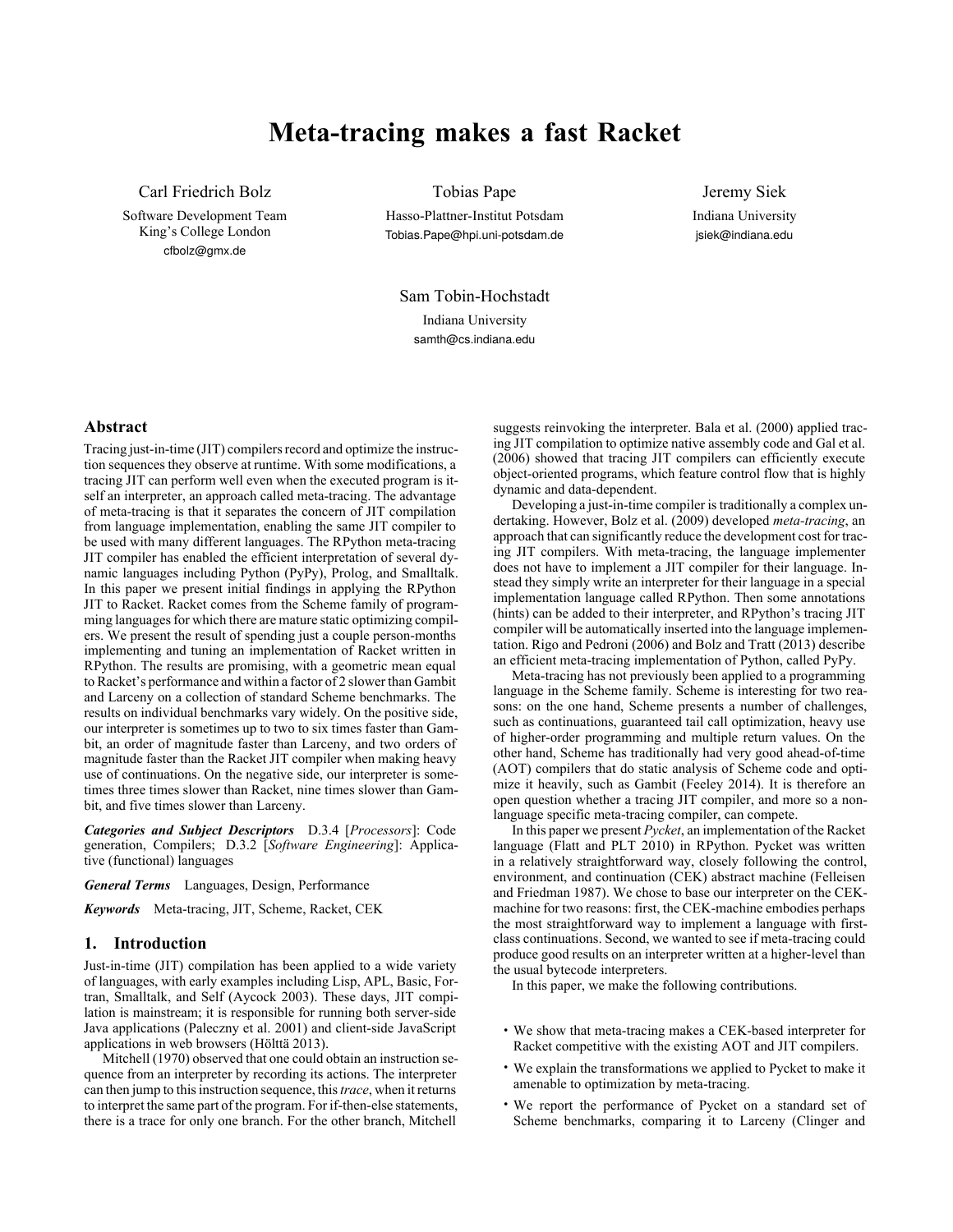# **Meta-tracing makes a fast Racket**

Carl Friedrich Bolz

Software Development Team King's College London cfbolz@gmx.de

Tobias Pape

Hasso-Plattner-Institut Potsdam Tobias.Pape@hpi.uni-potsdam.de

Jeremy Siek Indiana University jsiek@indiana.edu

Sam Tobin-Hochstadt Indiana University samth@cs.indiana.edu

# **Abstract**

Tracing just-in-time (JIT) compilers record and optimize the instruction sequences they observe at runtime. With some modifications, a tracing JIT can perform well even when the executed program is itself an interpreter, an approach called meta-tracing. The advantage of meta-tracing is that it separates the concern of JIT compilation from language implementation, enabling the same JIT compiler to be used with many different languages. The RPython meta-tracing JIT compiler has enabled the efficient interpretation of several dynamic languages including Python (PyPy), Prolog, and Smalltalk. In this paper we present initial findings in applying the RPython JIT to Racket. Racket comes from the Scheme family of programming languages for which there are mature static optimizing compilers. We present the result of spending just a couple person-months implementing and tuning an implementation of Racket written in RPython. The results are promising, with a geometric mean equal to Racket's performance and within a factor of 2 slower than Gambit and Larceny on a collection of standard Scheme benchmarks. The results on individual benchmarks vary widely. On the positive side, our interpreter is sometimes up to two to six times faster than Gambit, an order of magnitude faster than Larceny, and two orders of magnitude faster than the Racket JIT compiler when making heavy use of continuations. On the negative side, our interpreter is sometimes three times slower than Racket, nine times slower than Gambit, and five times slower than Larceny.

*Categories and Subject Descriptors* D.3.4 [*Processors*]: Code generation, Compilers; D.3.2 [*Software Engineering*]: Applicative (functional) languages

*General Terms* Languages, Design, Performance

*Keywords* Meta-tracing, JIT, Scheme, Racket, CEK

#### **1. Introduction**

Just-in-time (JIT) compilation has been applied to a wide variety of languages, with early examples including Lisp, APL, Basic, Fortran, Smalltalk, and Self([Aycock](#page-5-0) [2003\)](#page-5-0). These days, JIT compilation is mainstream; it is responsible for running both server-side Java applications [\(Paleczny et al.](#page-5-1) [2001\)](#page-5-1) and client-side JavaScript applications in web browsers([Hölttä](#page-5-2) [2013](#page-5-2)).

[Mitchell](#page-5-3) [\(1970](#page-5-3)) observed that one could obtain an instruction sequence from an interpreter by recording its actions. The interpreter can then jump to this instruction sequence, this*trace*, when it returns to interpret the same part of the program. For if-then-else statements, there is a trace for only one branch. For the other branch, Mitchell

suggests reinvoking the interpreter. [Bala et al.](#page-5-4) ([2000\)](#page-5-4) applied tracing JIT compilation to optimize native assembly code and [Gal et al.](#page-5-5) ([2006\)](#page-5-5) showed that tracing JIT compilers can efficiently execute object-oriented programs, which feature control flow that is highly dynamic and data-dependent.

Developing a just-in-time compiler is traditionally a complex undertaking. However, [Bolz et al.](#page-5-6) ([2009\)](#page-5-6) developed *meta-tracing*, an approach that can significantly reduce the development cost for tracing JIT compilers. With meta-tracing, the language implementer does not have to implement a JIT compiler for their language. Instead they simply write an interpreter for their language in a special implementation language called RPython. Then some annotations (hints) can be added to their interpreter, and RPython's tracing JIT compiler will be automatically inserted into the language implementation. [Rigo and Pedroni](#page-5-7) [\(2006\)](#page-5-7) and [Bolz and Tratt](#page-5-8) [\(2013](#page-5-8)) describe an efficient meta-tracing implementation of Python, called PyPy.

Meta-tracing has not previously been applied to a programming language in the Scheme family. Scheme is interesting for two reasons: on the one hand, Scheme presents a number of challenges, such as continuations, guaranteed tail call optimization, heavy use of higher-order programming and multiple return values. On the other hand, Scheme has traditionally had very good ahead-of-time (AOT) compilers that do static analysis of Scheme code and optimize it heavily, such as Gambit([Feeley](#page-5-9) [2014\)](#page-5-9). It is therefore an open question whether a tracing JIT compiler, and more so a nonlanguage specific meta-tracing compiler, can compete.

In this paper we present *Pycket*, an implementation of the Racket language [\(Flatt and PLT](#page-5-10) [2010](#page-5-10)) in RPython. Pycket was written in a relatively straightforward way, closely following the control, environment, and continuation (CEK) abstract machine([Felleisen](#page-5-11) [and Friedman](#page-5-11) [1987\)](#page-5-11). We chose to base our interpreter on the CEKmachine for two reasons: first, the CEK-machine embodies perhaps the most straightforward way to implement a language with firstclass continuations. Second, we wanted to see if meta-tracing could produce good results on an interpreter written at a higher-level than the usual bytecode interpreters.

In this paper, we make the following contributions.

- We show that meta-tracing makes a CEK-based interpreter for Racket competitive with the existing AOT and JIT compilers.
- We explain the transformations we applied to Pycket to make it amenable to optimization by meta-tracing.
- We report the performance of Pycket on a standard set of Scheme benchmarks, comparing it to Larceny [\(Clinger and](#page-5-12)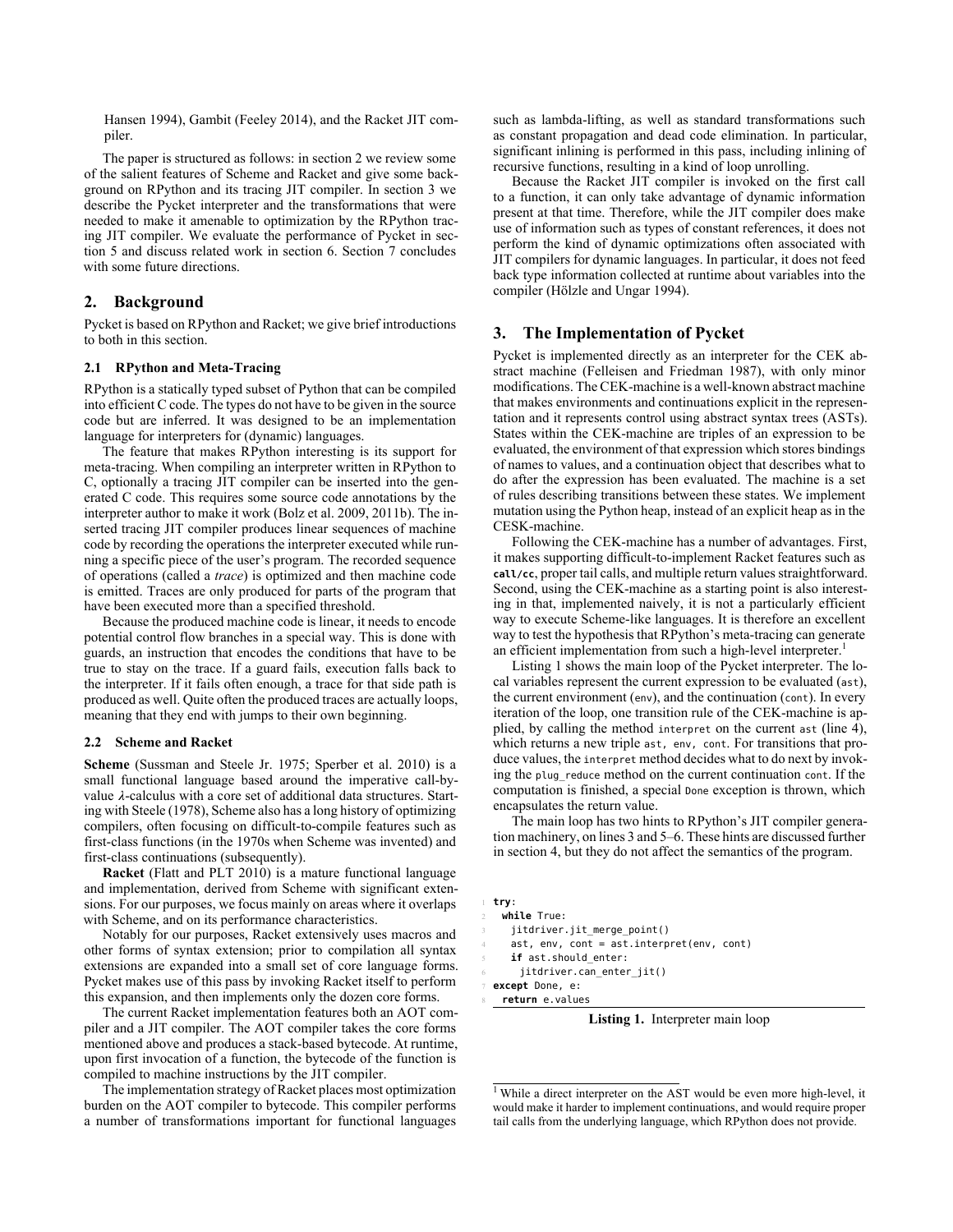Hansen [1994](#page-5-12)), Gambit([Feeley](#page-5-9) [2014](#page-5-9)), and the Racket JIT compiler.

The paper is structured as follows: in [section 2](#page-1-0) we review some of the salient features of Scheme and Racket and give some background on RPython and its tracing JIT compiler. In [section 3](#page-1-1) we describe the Pycket interpreter and the transformations that were needed to make it amenable to optimization by the RPython tracing JIT compiler. We evaluate the performance of Pycket in [sec](#page-3-0)[tion 5](#page-3-0) and discuss related work in [section 6.](#page-3-1) Section [7](#page-4-0) concludes with some future directions.

# <span id="page-1-0"></span>**2. Background**

Pycket is based on RPython and Racket; we give brief introductions to both in this section.

#### **2.1 RPython and Meta-Tracing**

RPython is a statically typed subset of Python that can be compiled into efficient C code. The types do not have to be given in the source code but are inferred. It was designed to be an implementation language for interpreters for (dynamic) languages.

The feature that makes RPython interesting is its support for meta-tracing. When compiling an interpreter written in RPython to C, optionally a tracing JIT compiler can be inserted into the generated C code. This requires some source code annotations by the interpreter author to make it work([Bolz et al.](#page-5-6) [2009,](#page-5-6) [2011b\)](#page-5-13). The inserted tracing JIT compiler produces linear sequences of machine code by recording the operations the interpreter executed while running a specific piece of the user's program. The recorded sequence of operations (called a *trace*) is optimized and then machine code is emitted. Traces are only produced for parts of the program that have been executed more than a specified threshold.

Because the produced machine code is linear, it needs to encode potential control flow branches in a special way. This is done with guards, an instruction that encodes the conditions that have to be true to stay on the trace. If a guard fails, execution falls back to the interpreter. If it fails often enough, a trace for that side path is produced as well. Quite often the produced traces are actually loops, meaning that they end with jumps to their own beginning.

#### **2.2 Scheme and Racket**

**Scheme** ([Sussman and Steele Jr.](#page-5-14) [1975;](#page-5-14) [Sperber et al.](#page-5-15) [2010](#page-5-15)) is a small functional language based around the imperative call-byvalue  $\lambda$ -calculus with a core set of additional data structures. Starting with [Steele](#page-5-16) [\(1978](#page-5-16)), Scheme also has a long history of optimizing compilers, often focusing on difficult-to-compile features such as first-class functions (in the 1970s when Scheme was invented) and first-class continuations (subsequently).

**Racket** ([Flatt and PLT](#page-5-10) [2010](#page-5-10)) is a mature functional language and implementation, derived from Scheme with significant extensions. For our purposes, we focus mainly on areas where it overlaps with Scheme, and on its performance characteristics.

Notably for our purposes, Racket extensively uses macros and other forms of syntax extension; prior to compilation all syntax extensions are expanded into a small set of core language forms. Pycket makes use of this pass by invoking Racket itself to perform this expansion, and then implements only the dozen core forms.

The current Racket implementation features both an AOT compiler and a JIT compiler. The AOT compiler takes the core forms mentioned above and produces a stack-based bytecode. At runtime, upon first invocation of a function, the bytecode of the function is compiled to machine instructions by the JIT compiler.

The implementation strategy of Racket places most optimization burden on the AOT compiler to bytecode. This compiler performs a number of transformations important for functional languages such as lambda-lifting, as well as standard transformations such as constant propagation and dead code elimination. In particular, significant inlining is performed in this pass, including inlining of recursive functions, resulting in a kind of loop unrolling.

Because the Racket JIT compiler is invoked on the first call to a function, it can only take advantage of dynamic information present at that time. Therefore, while the JIT compiler does make use of information such as types of constant references, it does not perform the kind of dynamic optimizations often associated with JIT compilers for dynamic languages. In particular, it does not feed back type information collected at runtime about variables into the compiler [\(Hölzle and Ungar](#page-5-17) [1994](#page-5-17)).

# <span id="page-1-1"></span>**3. The Implementation of Pycket**

Pycket is implemented directly as an interpreter for the CEK abstract machine [\(Felleisen and Friedman](#page-5-11) [1987](#page-5-11)), with only minor modifications. The CEK-machine is a well-known abstract machine that makes environments and continuations explicit in the representation and it represents control using abstract syntax trees (ASTs). States within the CEK-machine are triples of an expression to be evaluated, the environment of that expression which stores bindings of names to values, and a continuation object that describes what to do after the expression has been evaluated. The machine is a set of rules describing transitions between these states. We implement mutation using the Python heap, instead of an explicit heap as in the CESK-machine.

Following the CEK-machine has a number of advantages. First, it makes supporting difficult-to-implement Racket features such as **call/cc**, proper tail calls, and multiple return values straightforward. Second, using the CEK-machine as a starting point is also interesting in that, implemented naively, it is not a particularly efficient way to execute Scheme-like languages. It is therefore an excellent way to test the hypothesis that RPython's meta-tracing can generate an efficient implementation from such a high-level interpreter.<sup>[1](#page-1-2)</sup>

Listing [1](#page-1-3) shows the main loop of the Pycket interpreter. The local variables represent the current expression to be evaluated (ast), the current environment (env), and the continuation (cont). In every iteration of the loop, one transition rule of the CEK-machine is applied, by calling the method interpret on the current ast [\(line 4](#page-1-4)), which returns a new triple ast, env, cont. For transitions that produce values, the interpret method decides what to do next by invoking the plug reduce method on the current continuation cont. If the computation is finished, a special Done exception is thrown, which encapsulates the return value.

The main loop has two hints to RPython's JIT compiler generation machinery, on lines [3](#page-1-5) and [5](#page-1-6)–[6](#page-1-7). These hints are discussed further in [section 4](#page-2-0), but they do not affect the semantics of the program.

<span id="page-1-3"></span>1 **try**:

```
2 while True:
```
- <span id="page-1-5"></span>jitdriver.jit\_merge\_point()
- <span id="page-1-4"></span>ast, env, cont = ast.interpret(env, cont)

```
if ast.should enter:
```
6 jitdriver.can\_enter\_jit()

7 **except** Done, e:

8 **return** e.values

**Listing 1.** Interpreter main loop

<span id="page-1-2"></span><sup>&</sup>lt;sup>1</sup> While a direct interpreter on the AST would be even more high-level, it would make it harder to implement continuations, and would require proper tail calls from the underlying language, which RPython does not provide.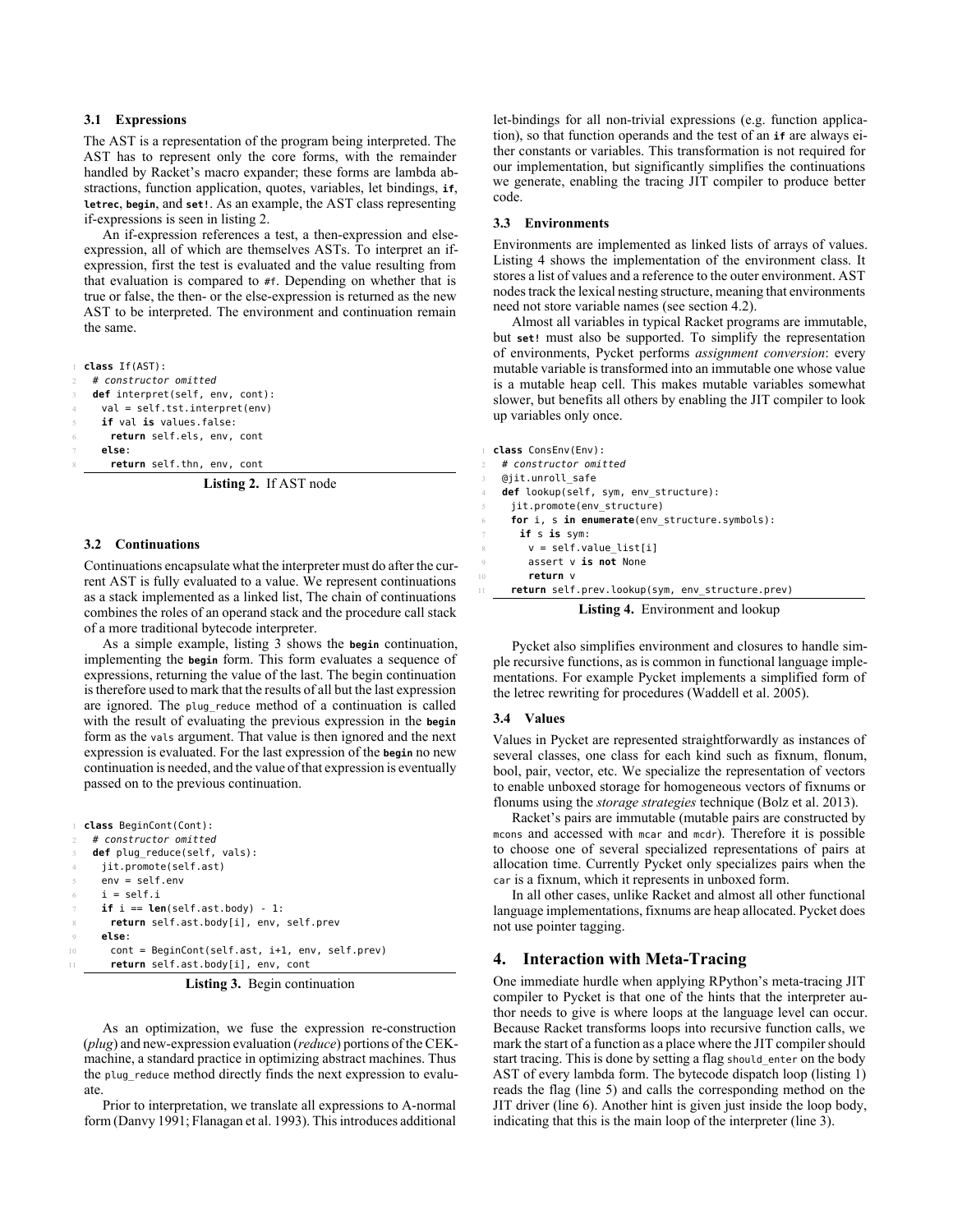## **3.1 Expressions**

The AST is a representation of the program being interpreted. The AST has to represent only the core forms, with the remainder handled by Racket's macro expander; these forms are lambda abstractions, function application, quotes, variables, let bindings, **if**, **letrec**, **begin**, and **set!**. As an example, the AST class representing if-expressions is seen in [listing 2](#page-2-1).

An if-expression references a test, a then-expression and elseexpression, all of which are themselves ASTs. To interpret an ifexpression, first the test is evaluated and the value resulting from that evaluation is compared to #f. Depending on whether that is true or false, the then- or the else-expression is returned as the new AST to be interpreted. The environment and continuation remain the same.

```
1 class If(AST):
 2 # constructor omitted
 3 def interpret(self, env, cont):
   val = self.txt.internet(env)if val is values.false:
    6 return self.els, env, cont
   7 else:
    return self.thn, env, cont
```
**Listing 2.** If AST node

#### **3.2 Continuations**

Continuations encapsulate what the interpreter must do after the current AST is fully evaluated to a value. We represent continuations as a stack implemented as a linked list, The chain of continuations combines the roles of an operand stack and the procedure call stack of a more traditional bytecode interpreter.

As a simple example, [listing 3](#page-2-2) shows the **begin** continuation, implementing the **begin** form. This form evaluates a sequence of expressions, returning the value of the last. The begin continuation is therefore used to mark that the results of all but the last expression are ignored. The plug reduce method of a continuation is called with the result of evaluating the previous expression in the **begin** form as the vals argument. That value is then ignored and the next expression is evaluated. For the last expression of the **begin** no new continuation is needed, and the value of that expression is eventually passed on to the previous continuation.

```
1 class BeginCont(Cont):
   2 # constructor omitted
    def plug_reduce(self, vals):
     jit.promote(self.ast)
     env = self.envi = self.iif i == len(self.ast.body) - 1:8 return self.ast.body[i], env, self.prev
     9 else:
10 cont = BeginCont(self.ast, i+1, env, self.prev)
11 return self.ast.body[i], env, cont
```
**Listing 3.** Begin continuation

As an optimization, we fuse the expression re-construction (*plug*) and new-expression evaluation (*reduce*) portions of the CEKmachine, a standard practice in optimizing abstract machines. Thus the plug\_reduce method directly finds the next expression to evaluate.

Prior to interpretation, we translate all expressions to A-normal form([Danvy](#page-5-18) [1991](#page-5-18); [Flanagan et al.](#page-5-19) [1993](#page-5-19)). This introduces additional

let-bindings for all non-trivial expressions (e.g. function application), so that function operands and the test of an **if** are always either constants or variables. This transformation is not required for our implementation, but significantly simplifies the continuations we generate, enabling the tracing JIT compiler to produce better code.

#### **3.3 Environments**

Environments are implemented as linked lists of arrays of values. Listing [4](#page-2-3) shows the implementation of the environment class. It stores a list of values and a reference to the outer environment. AST nodes track the lexical nesting structure, meaning that environments need not store variable names (see [section 4.2](#page-3-2)).

Almost all variables in typical Racket programs are immutable, but **set!** must also be supported. To simplify the representation of environments, Pycket performs *assignment conversion*: every mutable variable is transformed into an immutable one whose value is a mutable heap cell. This makes mutable variables somewhat slower, but benefits all others by enabling the JIT compiler to look up variables only once.

```
1 class ConsEnv(Env):
 2 # constructor omitted
 @jit.unroll_safe
 def lookup(self, sym, env structure):
   iit.promote(env_structure)
   6 for i, s in enumerate(env_structure.symbols):
    7 if s is sym:
      v = self.value_list[i]9 assert v is not None
      return v
   11 return self.prev.lookup(sym, env_structure.prev)
               Listing 4. Environment and lookup
```
Pycket also simplifies environment and closures to handle simple recursive functions, as is common in functional language imple-

mentations. For example Pycket implements a simplified form of the letrec rewriting for procedures([Waddell et al.](#page-5-20) [2005\)](#page-5-20).

## **3.4 Values**

Values in Pycket are represented straightforwardly as instances of several classes, one class for each kind such as fixnum, flonum, bool, pair, vector, etc. We specialize the representation of vectors to enable unboxed storage for homogeneous vectors of fixnums or flonums using the *storage strategies* technique([Bolz et al.](#page-5-21) [2013\)](#page-5-21).

Racket's pairs are immutable (mutable pairs are constructed by mcons and accessed with mcar and mcdr). Therefore it is possible to choose one of several specialized representations of pairs at allocation time. Currently Pycket only specializes pairs when the car is a fixnum, which it represents in unboxed form.

In all other cases, unlike Racket and almost all other functional language implementations, fixnums are heap allocated. Pycket does not use pointer tagging.

# <span id="page-2-0"></span>**4. Interaction with Meta-Tracing**

One immediate hurdle when applying RPython's meta-tracing JIT compiler to Pycket is that one of the hints that the interpreter author needs to give is where loops at the language level can occur. Because Racket transforms loops into recursive function calls, we mark the start of a function as a place where the JIT compiler should start tracing. This is done by setting a flag should\_enter on the body AST of every lambda form. The bytecode dispatch loop [\(listing 1\)](#page-1-3) reads the flag([line 5\)](#page-1-6) and calls the corresponding method on the JIT driver([line 6\)](#page-1-7). Another hint is given just inside the loop body, indicating that this is the main loop of the interpreter [\(line 3](#page-1-5)).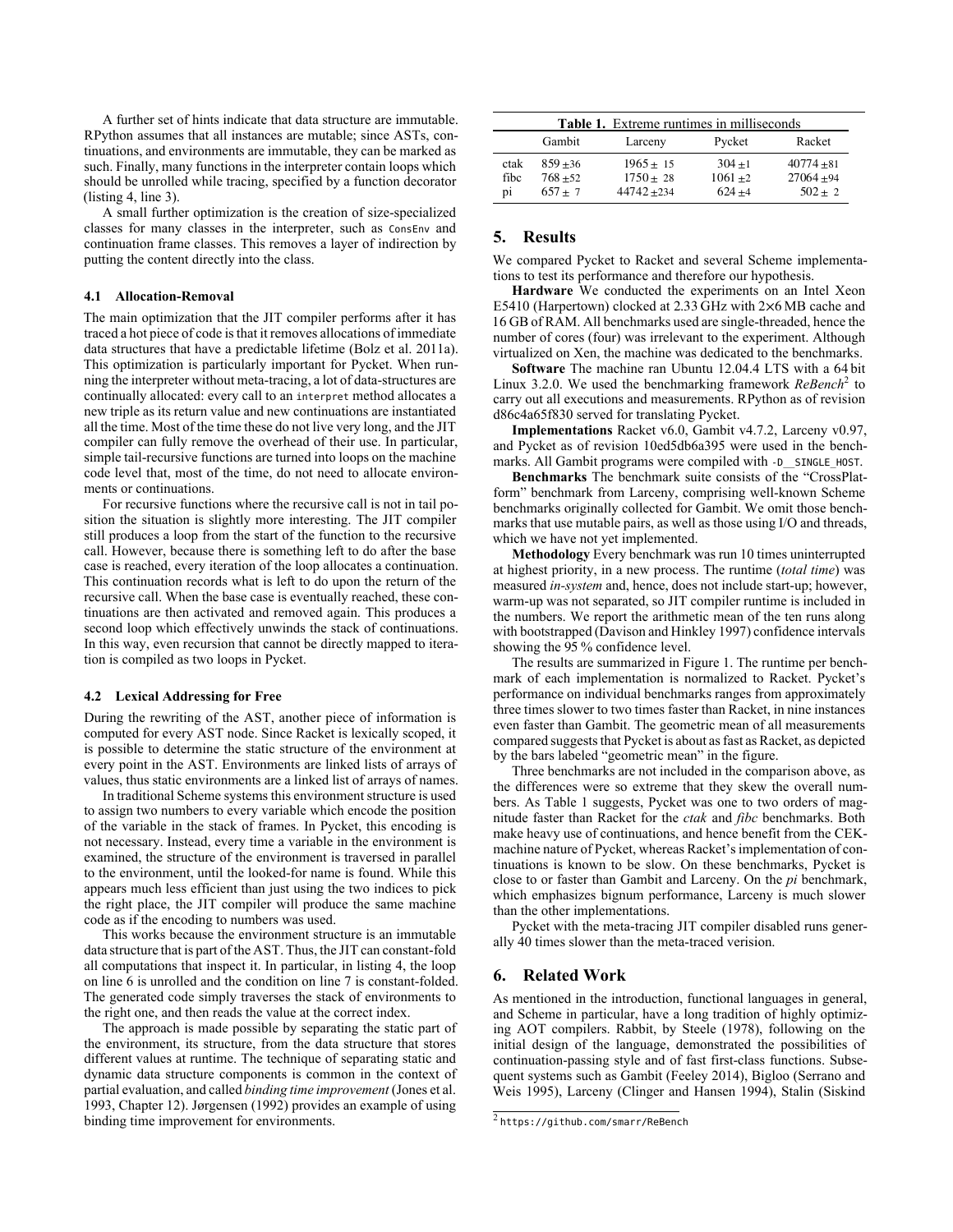A further set of hints indicate that data structure are immutable. RPython assumes that all instances are mutable; since ASTs, continuations, and environments are immutable, they can be marked as such. Finally, many functions in the interpreter contain loops which should be unrolled while tracing, specified by a function decorator ([listing 4,](#page-2-3) [line 3](#page-2-4)).

A small further optimization is the creation of size-specialized classes for many classes in the interpreter, such as ConsEnv and continuation frame classes. This removes a layer of indirection by putting the content directly into the class.

#### **4.1 Allocation-Removal**

The main optimization that the JIT compiler performs after it has traced a hot piece of code is that it removes allocations of immediate data structures that have a predictable lifetime [\(Bolz et al.](#page-5-22) [2011a](#page-5-22)). This optimization is particularly important for Pycket. When running the interpreter without meta-tracing, a lot of data-structures are continually allocated: every call to an interpret method allocates a new triple as its return value and new continuations are instantiated all the time. Most of the time these do not live very long, and the JIT compiler can fully remove the overhead of their use. In particular, simple tail-recursive functions are turned into loops on the machine code level that, most of the time, do not need to allocate environments or continuations.

For recursive functions where the recursive call is not in tail position the situation is slightly more interesting. The JIT compiler still produces a loop from the start of the function to the recursive call. However, because there is something left to do after the base case is reached, every iteration of the loop allocates a continuation. This continuation records what is left to do upon the return of the recursive call. When the base case is eventually reached, these continuations are then activated and removed again. This produces a second loop which effectively unwinds the stack of continuations. In this way, even recursion that cannot be directly mapped to iteration is compiled as two loops in Pycket.

#### <span id="page-3-2"></span>**4.2 Lexical Addressing for Free**

During the rewriting of the AST, another piece of information is computed for every AST node. Since Racket is lexically scoped, it is possible to determine the static structure of the environment at every point in the AST. Environments are linked lists of arrays of values, thus static environments are a linked list of arrays of names.

In traditional Scheme systems this environment structure is used to assign two numbers to every variable which encode the position of the variable in the stack of frames. In Pycket, this encoding is not necessary. Instead, every time a variable in the environment is examined, the structure of the environment is traversed in parallel to the environment, until the looked-for name is found. While this appears much less efficient than just using the two indices to pick the right place, the JIT compiler will produce the same machine code as if the encoding to numbers was used.

This works because the environment structure is an immutable data structure that is part of the AST. Thus, the JIT can constant-fold all computations that inspect it. In particular, in [listing 4,](#page-2-3) the loop on [line 6](#page-2-5) is unrolled and the condition on [line 7](#page-2-6) is constant-folded. The generated code simply traverses the stack of environments to the right one, and then reads the value at the correct index.

The approach is made possible by separating the static part of the environment, its structure, from the data structure that stores different values at runtime. The technique of separating static and dynamic data structure components is common in the context of partial evaluation, and called *binding time improvement* ([Jones et al.](#page-5-23) [1993,](#page-5-23) Chapter 12). [Jørgensen](#page-5-24) [\(1992](#page-5-24)) provides an example of using binding time improvement for environments.

<span id="page-3-4"></span>

|      | <b>Table 1.</b> Extreme runtimes in milliseconds |               |            |              |  |  |  |  |  |
|------|--------------------------------------------------|---------------|------------|--------------|--|--|--|--|--|
|      | Gambit                                           | Larceny       | Pycket     | Racket       |  |  |  |  |  |
| ctak | $859 + 36$                                       | $1965 + 15$   | $304 + 1$  | $40774 + 81$ |  |  |  |  |  |
| fibc | $768 + 52$                                       | $1750 + 28$   | $1061 + 2$ | $27064 + 94$ |  |  |  |  |  |
| pi   | $657 + 7$                                        | $44742 + 234$ | $624 + 4$  | $502 + 2$    |  |  |  |  |  |

## <span id="page-3-0"></span>**5. Results**

We compared Pycket to Racket and several Scheme implementations to test its performance and therefore our hypothesis.

**Hardware** We conducted the experiments on an Intel Xeon E5410 (Harpertown) clocked at 2.33 GHz with 2×6 MB cache and 16 GB of RAM. All benchmarks used are single-threaded, hence the number of cores (four) was irrelevant to the experiment. Although virtualized on Xen, the machine was dedicated to the benchmarks.

**Software** The machine ran Ubuntu 12.04.4 LTS with a 64 bit Linux 3.2.0. We used the benchmarking framework *ReBench*[2](#page-3-3) to carry out all executions and measurements. RPython as of revision d86c4a65f830 served for translating Pycket.

**Implementations** Racket v6.0, Gambit v4.7.2, Larceny v0.97, and Pycket as of revision 10ed5db6a395 were used in the benchmarks. All Gambit programs were compiled with -D\_SINGLE\_HOST.

**Benchmarks** The benchmark suite consists of the "CrossPlatform" benchmark from Larceny, comprising well-known Scheme benchmarks originally collected for Gambit. We omit those benchmarks that use mutable pairs, as well as those using I/O and threads, which we have not yet implemented.

**Methodology** Every benchmark was run 10 times uninterrupted at highest priority, in a new process. The runtime (*total time*) was measured *in-system* and, hence, does not include start-up; however, warm-up was not separated, so JIT compiler runtime is included in the numbers. We report the arithmetic mean of the ten runs along with bootstrapped [\(Davison and Hinkley](#page-5-25) [1997\)](#page-5-25) confidence intervals showing the 95 % confidence level.

The results are summarized in [Figure 1](#page-4-1). The runtime per benchmark of each implementation is normalized to Racket. Pycket's performance on individual benchmarks ranges from approximately three times slower to two times faster than Racket, in nine instances even faster than Gambit. The geometric mean of all measurements compared suggests that Pycket is about as fast as Racket, as depicted by the bars labeled "geometric mean" in the figure.

Three benchmarks are not included in the comparison above, as the differences were so extreme that they skew the overall numbers. As [Table 1](#page-3-4) suggests, Pycket was one to two orders of magnitude faster than Racket for the *ctak* and *fibc* benchmarks. Both make heavy use of continuations, and hence benefit from the CEKmachine nature of Pycket, whereas Racket's implementation of continuations is known to be slow. On these benchmarks, Pycket is close to or faster than Gambit and Larceny. On the *pi* benchmark, which emphasizes bignum performance, Larceny is much slower than the other implementations.

Pycket with the meta-tracing JIT compiler disabled runs generally 40 times slower than the meta-traced verision.

## <span id="page-3-1"></span>**6. Related Work**

As mentioned in the introduction, functional languages in general, and Scheme in particular, have a long tradition of highly optimizing AOT compilers. Rabbit, by [Steele](#page-5-16) [\(1978](#page-5-16)), following on the initial design of the language, demonstrated the possibilities of continuation-passing style and of fast first-class functions. Subsequent systems such as Gambit [\(Feeley](#page-5-9) [2014](#page-5-9)), Bigloo([Serrano and](#page-5-26) [Weis](#page-5-26) [1995](#page-5-26)), Larceny([Clinger and Hansen](#page-5-12) [1994\)](#page-5-12), Stalin [\(Siskind](#page-5-27)

<span id="page-3-3"></span><sup>2</sup> <https://github.com/smarr/ReBench>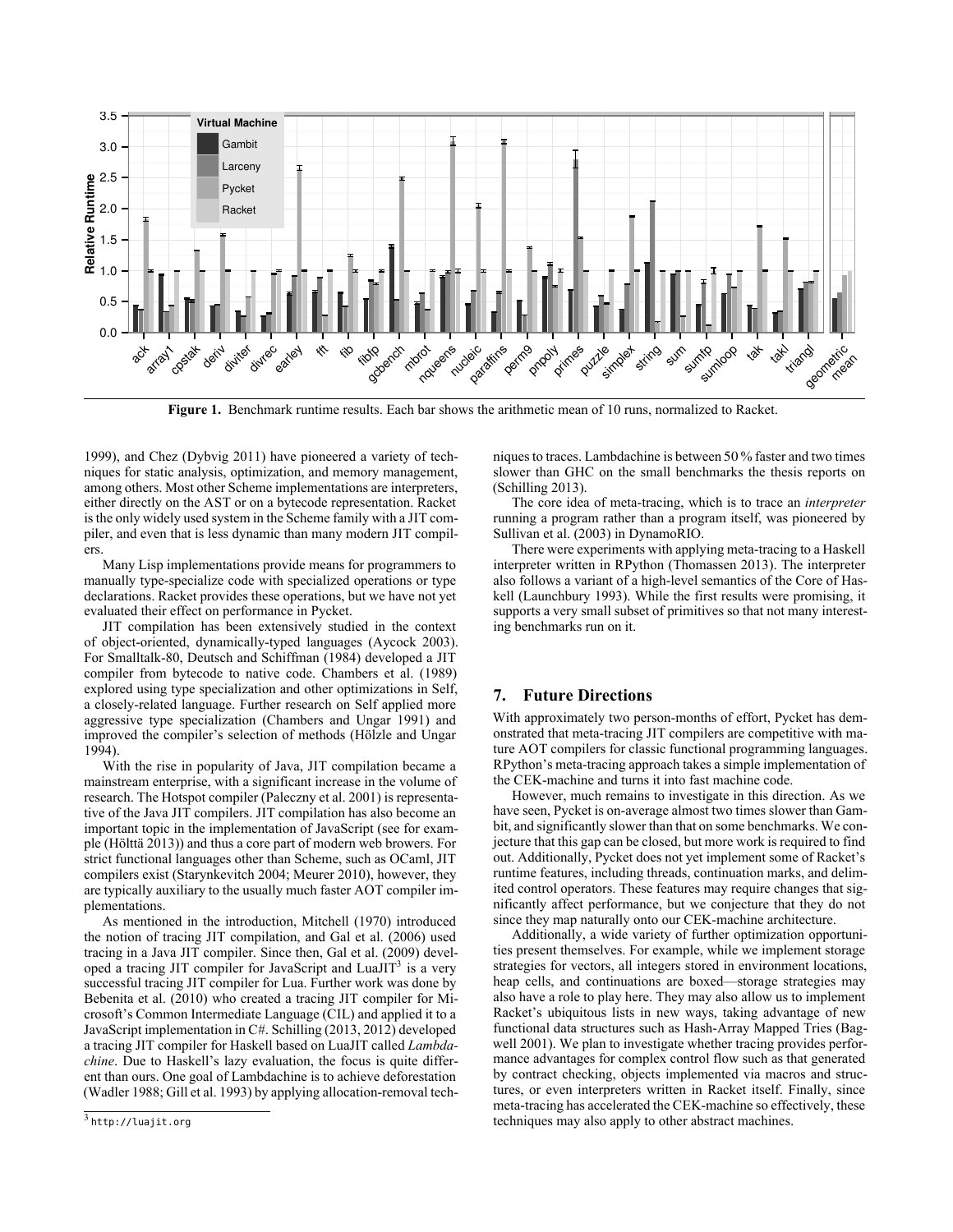

<span id="page-4-1"></span>**Figure 1.** Benchmark runtime results. Each bar shows the arithmetic mean of 10 runs, normalized to Racket.

[1999\)](#page-5-27), and Chez [\(Dybvig](#page-5-28) [2011\)](#page-5-28) have pioneered a variety of techniques for static analysis, optimization, and memory management, among others. Most other Scheme implementations are interpreters, either directly on the AST or on a bytecode representation. Racket is the only widely used system in the Scheme family with a JIT compiler, and even that is less dynamic than many modern JIT compilers.

Many Lisp implementations provide means for programmers to manually type-specialize code with specialized operations or type declarations. Racket provides these operations, but we have not yet evaluated their effect on performance in Pycket.

JIT compilation has been extensively studied in the context of object-oriented, dynamically-typed languages([Aycock](#page-5-0) [2003](#page-5-0)). For Smalltalk-80, [Deutsch and Schiffman](#page-5-29) [\(1984\)](#page-5-29) developed a JIT compiler from bytecode to native code. [Chambers et al.](#page-5-30) ([1989\)](#page-5-30) explored using type specialization and other optimizations in Self, a closely-related language. Further research on Self applied more aggressive type specialization([Chambers and Ungar](#page-5-31) [1991](#page-5-31)) and improved the compiler's selection of methods([Hölzle and Ungar](#page-5-17) [1994\)](#page-5-17).

With the rise in popularity of Java, JIT compilation became a mainstream enterprise, with a significant increase in the volume of research. The Hotspot compiler([Paleczny et al.](#page-5-1) [2001](#page-5-1)) is representative of the Java JIT compilers. JIT compilation has also become an important topic in the implementation of JavaScript (see for example([Hölttä](#page-5-2) [2013](#page-5-2))) and thus a core part of modern web browers. For strict functional languages other than Scheme, such as OCaml, JIT compilers exist([Starynkevitch](#page-5-32) [2004;](#page-5-32) [Meurer](#page-5-33) [2010](#page-5-33)), however, they are typically auxiliary to the usually much faster AOT compiler implementations.

<span id="page-4-2"></span>As mentioned in the introduction, [Mitchell](#page-5-3) ([1970\)](#page-5-3) introduced the notion of tracing JIT compilation, and [Gal et al.](#page-5-5) ([2006\)](#page-5-5) used tracing in a Java JIT compiler. Since then, [Gal et al.](#page-5-34) ([2009\)](#page-5-34) devel-oped a tracing JIT compiler for JavaScript and LuaJIT<sup>[3](#page-4-2)</sup> is a very successful tracing JIT compiler for Lua. Further work was done by [Bebenita et al.](#page-5-35) ([2010\)](#page-5-35) who created a tracing JIT compiler for Microsoft's Common Intermediate Language (CIL) and applied it to a JavaScript implementation in C#. [Schilling](#page-5-36) ([2013,](#page-5-36) [2012\)](#page-5-37) developed a tracing JIT compiler for Haskell based on LuaJIT called *Lambdachine*. Due to Haskell's lazy evaluation, the focus is quite different than ours. One goal of Lambdachine is to achieve deforestation ([Wadler](#page-5-38) [1988;](#page-5-38) [Gill et al.](#page-5-39) [1993\)](#page-5-39) by applying allocation-removal techniques to traces. Lambdachine is between 50 % faster and two times slower than GHC on the small benchmarks the thesis reports on ([Schilling](#page-5-36) [2013](#page-5-36)).

The core idea of meta-tracing, which is to trace an *interpreter* running a program rather than a program itself, was pioneered by [Sullivan et al.](#page-5-40) ([2003\)](#page-5-40) in DynamoRIO.

There were experiments with applying meta-tracing to a Haskell interpreter written in RPython([Thomassen](#page-5-41) [2013](#page-5-41)). The interpreter also follows a variant of a high-level semantics of the Core of Haskell [\(Launchbury](#page-5-42) [1993](#page-5-42)). While the first results were promising, it supports a very small subset of primitives so that not many interesting benchmarks run on it.

# <span id="page-4-0"></span>**7. Future Directions**

With approximately two person-months of effort, Pycket has demonstrated that meta-tracing JIT compilers are competitive with mature AOT compilers for classic functional programming languages. RPython's meta-tracing approach takes a simple implementation of the CEK-machine and turns it into fast machine code.

However, much remains to investigate in this direction. As we have seen, Pycket is on-average almost two times slower than Gambit, and significantly slower than that on some benchmarks. We conjecture that this gap can be closed, but more work is required to find out. Additionally, Pycket does not yet implement some of Racket's runtime features, including threads, continuation marks, and delimited control operators. These features may require changes that significantly affect performance, but we conjecture that they do not since they map naturally onto our CEK-machine architecture.

Additionally, a wide variety of further optimization opportunities present themselves. For example, while we implement storage strategies for vectors, all integers stored in environment locations, heap cells, and continuations are boxed—storage strategies may also have a role to play here. They may also allow us to implement Racket's ubiquitous lists in new ways, taking advantage of new functional data structures such as Hash-Array Mapped Tries [\(Bag](#page-5-43)[well](#page-5-43) [2001](#page-5-43)). We plan to investigate whether tracing provides performance advantages for complex control flow such as that generated by contract checking, objects implemented via macros and structures, or even interpreters written in Racket itself. Finally, since meta-tracing has accelerated the CEK-machine so effectively, these techniques may also apply to other abstract machines.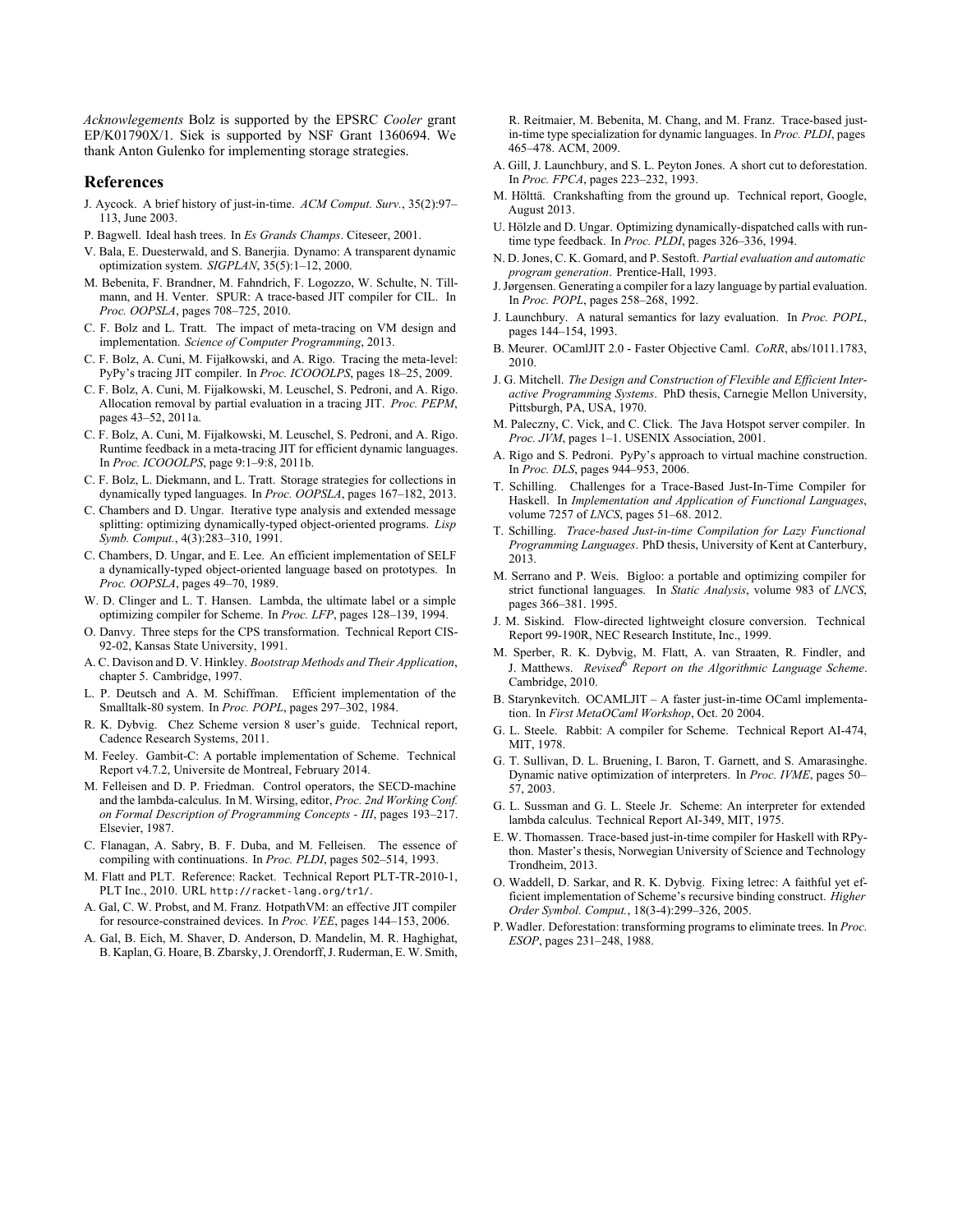*Acknowlegements* Bolz is supported by the EPSRC *Cooler* grant EP/K01790X/1. Siek is supported by NSF Grant 1360694. We thank Anton Gulenko for implementing storage strategies.

#### **References**

- <span id="page-5-0"></span>J. Aycock. A brief history of just-in-time. *ACM Comput. Surv.*, 35(2):97– 113, June 2003.
- <span id="page-5-43"></span>P. Bagwell. Ideal hash trees. In *Es Grands Champs*. Citeseer, 2001.
- <span id="page-5-4"></span>V. Bala, E. Duesterwald, and S. Banerjia. Dynamo: A transparent dynamic optimization system. *SIGPLAN*, 35(5):1–12, 2000.
- <span id="page-5-35"></span>M. Bebenita, F. Brandner, M. Fahndrich, F. Logozzo, W. Schulte, N. Tillmann, and H. Venter. SPUR: A trace-based JIT compiler for CIL. In *Proc. OOPSLA*, pages 708–725, 2010.
- <span id="page-5-8"></span>C. F. Bolz and L. Tratt. The impact of meta-tracing on VM design and implementation. *Science of Computer Programming*, 2013.
- <span id="page-5-6"></span>C. F. Bolz, A. Cuni, M. Fijałkowski, and A. Rigo. Tracing the meta-level: PyPy's tracing JIT compiler. In *Proc. ICOOOLPS*, pages 18–25, 2009.
- <span id="page-5-22"></span>C. F. Bolz, A. Cuni, M. Fijałkowski, M. Leuschel, S. Pedroni, and A. Rigo. Allocation removal by partial evaluation in a tracing JIT. *Proc. PEPM*, pages 43–52, 2011a.
- <span id="page-5-13"></span>C. F. Bolz, A. Cuni, M. Fijałkowski, M. Leuschel, S. Pedroni, and A. Rigo. Runtime feedback in a meta-tracing JIT for efficient dynamic languages. In *Proc. ICOOOLPS*, page 9:1–9:8, 2011b.
- <span id="page-5-21"></span>C. F. Bolz, L. Diekmann, and L. Tratt. Storage strategies for collections in dynamically typed languages. In *Proc. OOPSLA*, pages 167–182, 2013.
- <span id="page-5-31"></span>C. Chambers and D. Ungar. Iterative type analysis and extended message splitting: optimizing dynamically-typed object-oriented programs. *Lisp Symb. Comput.*, 4(3):283–310, 1991.
- <span id="page-5-30"></span>C. Chambers, D. Ungar, and E. Lee. An efficient implementation of SELF a dynamically-typed object-oriented language based on prototypes. In *Proc. OOPSLA*, pages 49–70, 1989.
- <span id="page-5-12"></span>W. D. Clinger and L. T. Hansen. Lambda, the ultimate label or a simple optimizing compiler for Scheme. In *Proc. LFP*, pages 128–139, 1994.
- <span id="page-5-18"></span>O. Danvy. Three steps for the CPS transformation. Technical Report CIS-92-02, Kansas State University, 1991.
- <span id="page-5-25"></span>A. C. Davison and D. V. Hinkley. *Bootstrap Methods and Their Application*, chapter 5. Cambridge, 1997.
- <span id="page-5-29"></span>L. P. Deutsch and A. M. Schiffman. Efficient implementation of the Smalltalk-80 system. In *Proc. POPL*, pages 297–302, 1984.
- <span id="page-5-28"></span>R. K. Dybvig. Chez Scheme version 8 user's guide. Technical report, Cadence Research Systems, 2011.
- <span id="page-5-9"></span>M. Feeley. Gambit-C: A portable implementation of Scheme. Technical Report v4.7.2, Universite de Montreal, February 2014.
- <span id="page-5-11"></span>M. Felleisen and D. P. Friedman. Control operators, the SECD-machine and the lambda-calculus. In M. Wirsing, editor, *Proc. 2nd Working Conf. on Formal Description of Programming Concepts - III*, pages 193–217. Elsevier, 1987.
- <span id="page-5-19"></span>C. Flanagan, A. Sabry, B. F. Duba, and M. Felleisen. The essence of compiling with continuations. In *Proc. PLDI*, pages 502–514, 1993.
- <span id="page-5-10"></span>M. Flatt and PLT. Reference: Racket. Technical Report PLT-TR-2010-1, PLT Inc., 2010. URL <http://racket-lang.org/tr1/>.
- <span id="page-5-5"></span>A. Gal, C. W. Probst, and M. Franz. HotpathVM: an effective JIT compiler for resource-constrained devices. In *Proc. VEE*, pages 144–153, 2006.
- <span id="page-5-34"></span>A. Gal, B. Eich, M. Shaver, D. Anderson, D. Mandelin, M. R. Haghighat, B. Kaplan, G. Hoare, B. Zbarsky, J. Orendorff, J. Ruderman, E. W. Smith,

R. Reitmaier, M. Bebenita, M. Chang, and M. Franz. Trace-based justin-time type specialization for dynamic languages. In *Proc. PLDI*, pages 465–478. ACM, 2009.

- <span id="page-5-39"></span>A. Gill, J. Launchbury, and S. L. Peyton Jones. A short cut to deforestation. In *Proc. FPCA*, pages 223–232, 1993.
- <span id="page-5-2"></span>M. Hölttä. Crankshafting from the ground up. Technical report, Google, August 2013.
- <span id="page-5-17"></span>U. Hölzle and D. Ungar. Optimizing dynamically-dispatched calls with runtime type feedback. In *Proc. PLDI*, pages 326–336, 1994.
- <span id="page-5-23"></span>N. D. Jones, C. K. Gomard, and P. Sestoft. *Partial evaluation and automatic program generation*. Prentice-Hall, 1993.
- <span id="page-5-24"></span>J. Jørgensen. Generating a compiler for a lazy language by partial evaluation. In *Proc. POPL*, pages 258–268, 1992.
- <span id="page-5-42"></span>J. Launchbury. A natural semantics for lazy evaluation. In *Proc. POPL*, pages 144–154, 1993.
- <span id="page-5-33"></span>B. Meurer. OCamlJIT 2.0 - Faster Objective Caml. *CoRR*, abs/1011.1783, 2010.
- <span id="page-5-3"></span>J. G. Mitchell. *The Design and Construction of Flexible and Efficient Interactive Programming Systems*. PhD thesis, Carnegie Mellon University, Pittsburgh, PA, USA, 1970.
- <span id="page-5-1"></span>M. Paleczny, C. Vick, and C. Click. The Java Hotspot server compiler. In *Proc. JVM*, pages 1–1. USENIX Association, 2001.
- <span id="page-5-7"></span>A. Rigo and S. Pedroni. PyPy's approach to virtual machine construction. In *Proc. DLS*, pages 944–953, 2006.
- <span id="page-5-37"></span>T. Schilling. Challenges for a Trace-Based Just-In-Time Compiler for Haskell. In *Implementation and Application of Functional Languages*, volume 7257 of *LNCS*, pages 51–68. 2012.
- <span id="page-5-36"></span>T. Schilling. *Trace-based Just-in-time Compilation for Lazy Functional Programming Languages*. PhD thesis, University of Kent at Canterbury, 2013.
- <span id="page-5-26"></span>M. Serrano and P. Weis. Bigloo: a portable and optimizing compiler for strict functional languages. In *Static Analysis*, volume 983 of *LNCS*, pages 366–381. 1995.
- <span id="page-5-27"></span>J. M. Siskind. Flow-directed lightweight closure conversion. Technical Report 99-190R, NEC Research Institute, Inc., 1999.
- <span id="page-5-15"></span>M. Sperber, R. K. Dybvig, M. Flatt, A. van Straaten, R. Findler, and J. Matthews. *Revised*<sup>6</sup> *Report on the Algorithmic Language Scheme*. Cambridge, 2010.
- <span id="page-5-32"></span>B. Starynkevitch. OCAMLJIT – A faster just-in-time OCaml implementation. In *First MetaOCaml Workshop*, Oct. 20 2004.
- <span id="page-5-16"></span>G. L. Steele. Rabbit: A compiler for Scheme. Technical Report AI-474, MIT, 1978.
- <span id="page-5-40"></span>G. T. Sullivan, D. L. Bruening, I. Baron, T. Garnett, and S. Amarasinghe. Dynamic native optimization of interpreters. In *Proc. IVME*, pages 50– 57, 2003.
- <span id="page-5-14"></span>G. L. Sussman and G. L. Steele Jr. Scheme: An interpreter for extended lambda calculus. Technical Report AI-349, MIT, 1975.
- <span id="page-5-41"></span>E. W. Thomassen. Trace-based just-in-time compiler for Haskell with RPython. Master's thesis, Norwegian University of Science and Technology Trondheim, 2013.
- <span id="page-5-20"></span>O. Waddell, D. Sarkar, and R. K. Dybvig. Fixing letrec: A faithful yet efficient implementation of Scheme's recursive binding construct. *Higher Order Symbol. Comput.*, 18(3-4):299–326, 2005.
- <span id="page-5-38"></span>P. Wadler. Deforestation: transforming programs to eliminate trees. In *Proc. ESOP*, pages 231–248, 1988.